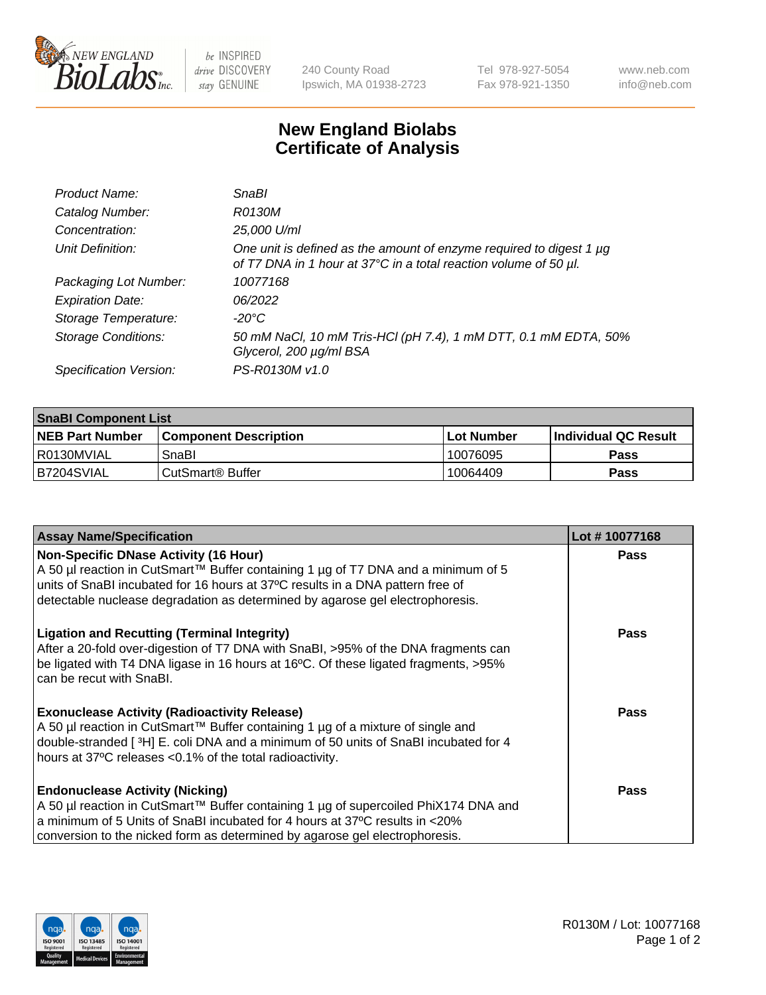

 $be$  INSPIRED drive DISCOVERY stay GENUINE

240 County Road Ipswich, MA 01938-2723 Tel 978-927-5054 Fax 978-921-1350 www.neb.com info@neb.com

## **New England Biolabs Certificate of Analysis**

| Product Name:              | <b>SnaBl</b>                                                                                                                            |
|----------------------------|-----------------------------------------------------------------------------------------------------------------------------------------|
| Catalog Number:            | R0130M                                                                                                                                  |
| Concentration:             | 25,000 U/ml                                                                                                                             |
| Unit Definition:           | One unit is defined as the amount of enzyme required to digest 1 µg<br>of T7 DNA in 1 hour at 37°C in a total reaction volume of 50 µl. |
| Packaging Lot Number:      | 10077168                                                                                                                                |
| <b>Expiration Date:</b>    | 06/2022                                                                                                                                 |
| Storage Temperature:       | -20°C                                                                                                                                   |
| <b>Storage Conditions:</b> | 50 mM NaCl, 10 mM Tris-HCl (pH 7.4), 1 mM DTT, 0.1 mM EDTA, 50%<br>Glycerol, 200 µg/ml BSA                                              |
| Specification Version:     | PS-R0130M v1.0                                                                                                                          |

| <b>SnaBI Component List</b> |                         |             |                             |  |
|-----------------------------|-------------------------|-------------|-----------------------------|--|
| <b>NEB Part Number</b>      | l Component Description | ⊺Lot Number | <b>Individual QC Result</b> |  |
| I R0130MVIAL                | SnaBl                   | 10076095    | Pass                        |  |
| B7204SVIAL                  | l CutSmart® Buffer      | 10064409    | Pass                        |  |

| <b>Assay Name/Specification</b>                                                                                                                                                                                                                                                                      | Lot #10077168 |
|------------------------------------------------------------------------------------------------------------------------------------------------------------------------------------------------------------------------------------------------------------------------------------------------------|---------------|
| <b>Non-Specific DNase Activity (16 Hour)</b><br>A 50 µl reaction in CutSmart™ Buffer containing 1 µg of T7 DNA and a minimum of 5<br>units of SnaBI incubated for 16 hours at 37°C results in a DNA pattern free of<br>detectable nuclease degradation as determined by agarose gel electrophoresis. | <b>Pass</b>   |
| <b>Ligation and Recutting (Terminal Integrity)</b><br>After a 20-fold over-digestion of T7 DNA with SnaBI, >95% of the DNA fragments can<br>be ligated with T4 DNA ligase in 16 hours at 16°C. Of these ligated fragments, >95%<br>can be recut with SnaBI.                                          | Pass          |
| <b>Exonuclease Activity (Radioactivity Release)</b><br>A 50 µl reaction in CutSmart™ Buffer containing 1 µg of a mixture of single and<br>double-stranded [3H] E. coli DNA and a minimum of 50 units of SnaBI incubated for 4<br>hours at 37°C releases <0.1% of the total radioactivity.            | Pass          |
| <b>Endonuclease Activity (Nicking)</b><br>A 50 µl reaction in CutSmart™ Buffer containing 1 µg of supercoiled PhiX174 DNA and<br>a minimum of 5 Units of SnaBI incubated for 4 hours at 37°C results in <20%<br>conversion to the nicked form as determined by agarose gel electrophoresis.          | Pass          |